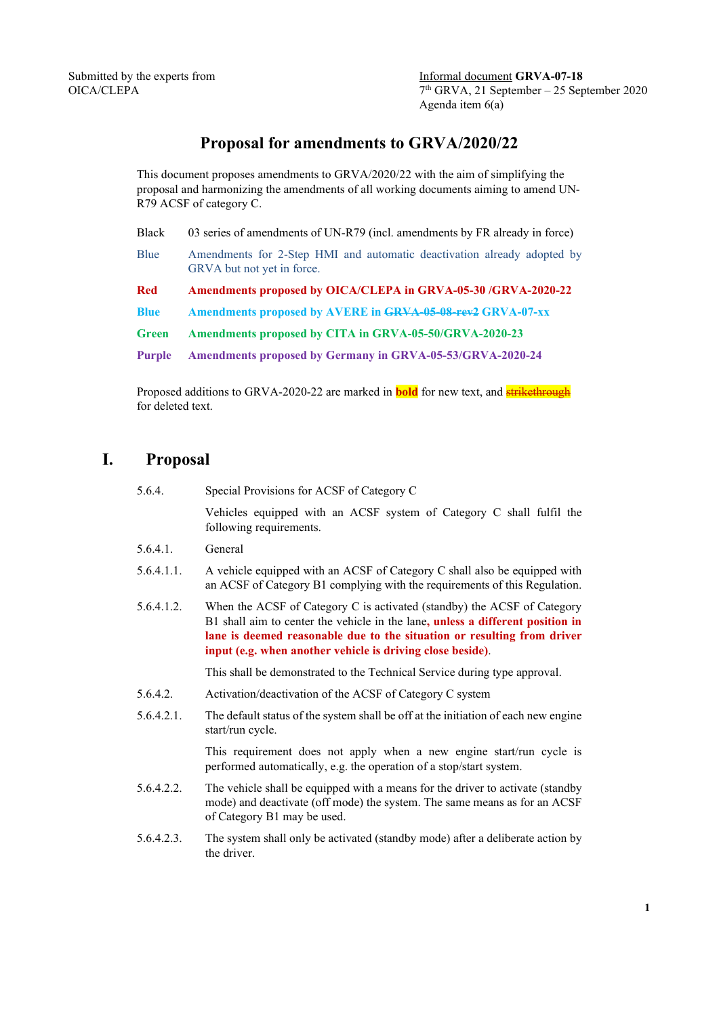# **Proposal for amendments to GRVA/2020/22**

This document proposes amendments to GRVA/2020/22 with the aim of simplifying the proposal and harmonizing the amendments of all working documents aiming to amend UN-R79 ACSF of category C.

Black 03 series of amendments of UN-R79 (incl. amendments by FR already in force)

Blue Amendments for 2-Step HMI and automatic deactivation already adopted by GRVA but not yet in force.

**Red Amendments proposed by OICA/CLEPA in GRVA-05-30 /GRVA-2020-22**

**Blue Amendments proposed by AVERE in GRVA-05-08-rev2 GRVA-07-xx**

**Green Amendments proposed by CITA in GRVA-05-50/GRVA-2020-23**

**Purple Amendments proposed by Germany in GRVA-05-53/GRVA-2020-24**

Proposed additions to GRVA-2020-22 are marked in **bold** for new text, and **strikethrough** for deleted text.

## **I. Proposal**

5.6.4. Special Provisions for ACSF of Category C

Vehicles equipped with an ACSF system of Category C shall fulfil the following requirements.

- 5.6.4.1. General
- 5.6.4.1.1. A vehicle equipped with an ACSF of Category C shall also be equipped with an ACSF of Category B1 complying with the requirements of this Regulation.
- 5.6.4.1.2. When the ACSF of Category C is activated (standby) the ACSF of Category B1 shall aim to center the vehicle in the lane**, unless a different position in lane is deemed reasonable due to the situation or resulting from driver input (e.g. when another vehicle is driving close beside)**.

This shall be demonstrated to the Technical Service during type approval.

- 5.6.4.2. Activation/deactivation of the ACSF of Category C system
- 5.6.4.2.1. The default status of the system shall be off at the initiation of each new engine start/run cycle.

This requirement does not apply when a new engine start/run cycle is performed automatically, e.g. the operation of a stop/start system.

- 5.6.4.2.2. The vehicle shall be equipped with a means for the driver to activate (standby mode) and deactivate (off mode) the system. The same means as for an ACSF of Category B1 may be used.
- 5.6.4.2.3. The system shall only be activated (standby mode) after a deliberate action by the driver.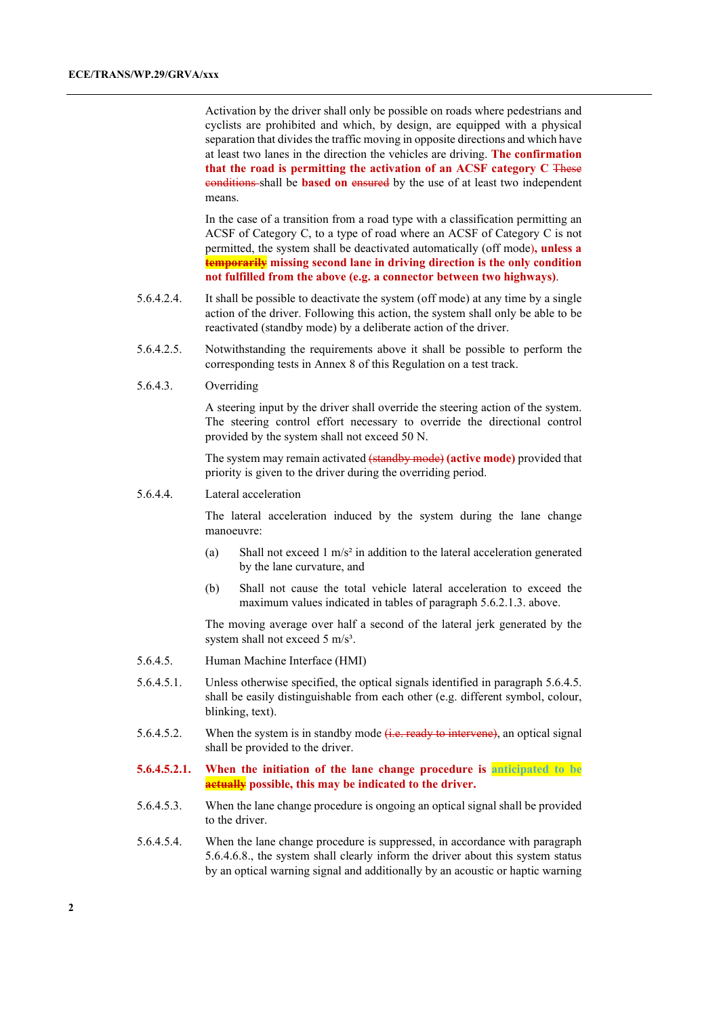Activation by the driver shall only be possible on roads where pedestrians and cyclists are prohibited and which, by design, are equipped with a physical separation that divides the traffic moving in opposite directions and which have at least two lanes in the direction the vehicles are driving. **The confirmation that the road is permitting the activation of an ACSF category C** These conditions shall be **based on** ensured by the use of at least two independent means.

In the case of a transition from a road type with a classification permitting an ACSF of Category C, to a type of road where an ACSF of Category C is not permitted, the system shall be deactivated automatically (off mode)**, unless a temporarily missing second lane in driving direction is the only condition not fulfilled from the above (e.g. a connector between two highways)**.

- 5.6.4.2.4. It shall be possible to deactivate the system (off mode) at any time by a single action of the driver. Following this action, the system shall only be able to be reactivated (standby mode) by a deliberate action of the driver.
- 5.6.4.2.5. Notwithstanding the requirements above it shall be possible to perform the corresponding tests in Annex 8 of this Regulation on a test track.
- 5.6.4.3. Overriding

A steering input by the driver shall override the steering action of the system. The steering control effort necessary to override the directional control provided by the system shall not exceed 50 N.

The system may remain activated (standby mode) **(active mode)** provided that priority is given to the driver during the overriding period.

#### 5.6.4.4. Lateral acceleration

The lateral acceleration induced by the system during the lane change manoeuvre:

- (a) Shall not exceed 1 m/s<sup>2</sup> in addition to the lateral acceleration generated by the lane curvature, and
- (b) Shall not cause the total vehicle lateral acceleration to exceed the maximum values indicated in tables of paragraph 5.6.2.1.3. above.

The moving average over half a second of the lateral jerk generated by the system shall not exceed 5 m/s<sup>3</sup>.

- 5.6.4.5. Human Machine Interface (HMI)
- 5.6.4.5.1. Unless otherwise specified, the optical signals identified in paragraph 5.6.4.5. shall be easily distinguishable from each other (e.g. different symbol, colour, blinking, text).
- 5.6.4.5.2. When the system is in standby mode  $(i.e., ready to interview)$ , an optical signal shall be provided to the driver.
- **5.6.4.5.2.1. When the initiation of the lane change procedure is anticipated to be actually possible, this may be indicated to the driver.**
- 5.6.4.5.3. When the lane change procedure is ongoing an optical signal shall be provided to the driver.
- 5.6.4.5.4. When the lane change procedure is suppressed, in accordance with paragraph 5.6.4.6.8., the system shall clearly inform the driver about this system status by an optical warning signal and additionally by an acoustic or haptic warning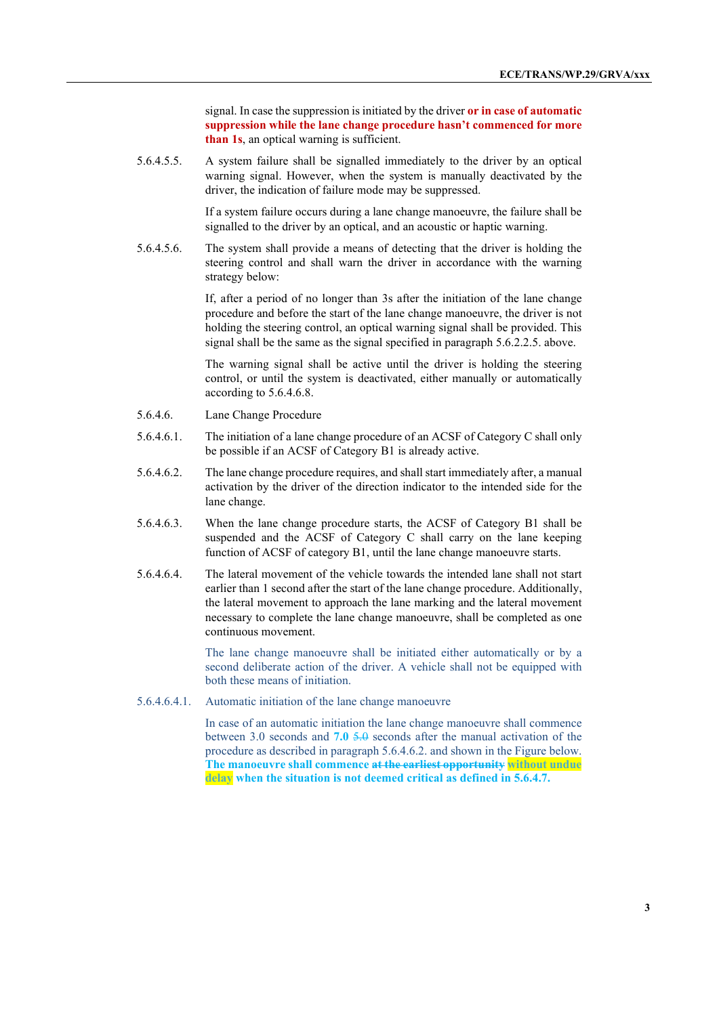signal. In case the suppression is initiated by the driver **or in case of automatic suppression while the lane change procedure hasn't commenced for more than 1s**, an optical warning is sufficient.

5.6.4.5.5. A system failure shall be signalled immediately to the driver by an optical warning signal. However, when the system is manually deactivated by the driver, the indication of failure mode may be suppressed.

> If a system failure occurs during a lane change manoeuvre, the failure shall be signalled to the driver by an optical, and an acoustic or haptic warning.

5.6.4.5.6. The system shall provide a means of detecting that the driver is holding the steering control and shall warn the driver in accordance with the warning strategy below:

> If, after a period of no longer than 3s after the initiation of the lane change procedure and before the start of the lane change manoeuvre, the driver is not holding the steering control, an optical warning signal shall be provided. This signal shall be the same as the signal specified in paragraph 5.6.2.2.5. above.

> The warning signal shall be active until the driver is holding the steering control, or until the system is deactivated, either manually or automatically according to 5.6.4.6.8.

- 5.6.4.6. Lane Change Procedure
- 5.6.4.6.1. The initiation of a lane change procedure of an ACSF of Category C shall only be possible if an ACSF of Category B1 is already active.
- 5.6.4.6.2. The lane change procedure requires, and shall start immediately after, a manual activation by the driver of the direction indicator to the intended side for the lane change.
- 5.6.4.6.3. When the lane change procedure starts, the ACSF of Category B1 shall be suspended and the ACSF of Category C shall carry on the lane keeping function of ACSF of category B1, until the lane change manoeuvre starts.
- 5.6.4.6.4. The lateral movement of the vehicle towards the intended lane shall not start earlier than 1 second after the start of the lane change procedure. Additionally, the lateral movement to approach the lane marking and the lateral movement necessary to complete the lane change manoeuvre, shall be completed as one continuous movement.

The lane change manoeuvre shall be initiated either automatically or by a second deliberate action of the driver. A vehicle shall not be equipped with both these means of initiation.

5.6.4.6.4.1. Automatic initiation of the lane change manoeuvre

In case of an automatic initiation the lane change manoeuvre shall commence between 3.0 seconds and **7.0** 5.0 seconds after the manual activation of the procedure as described in paragraph 5.6.4.6.2. and shown in the Figure below. **The manoeuvre shall commence at the earliest opportunity without undue delay when the situation is not deemed critical as defined in 5.6.4.7.**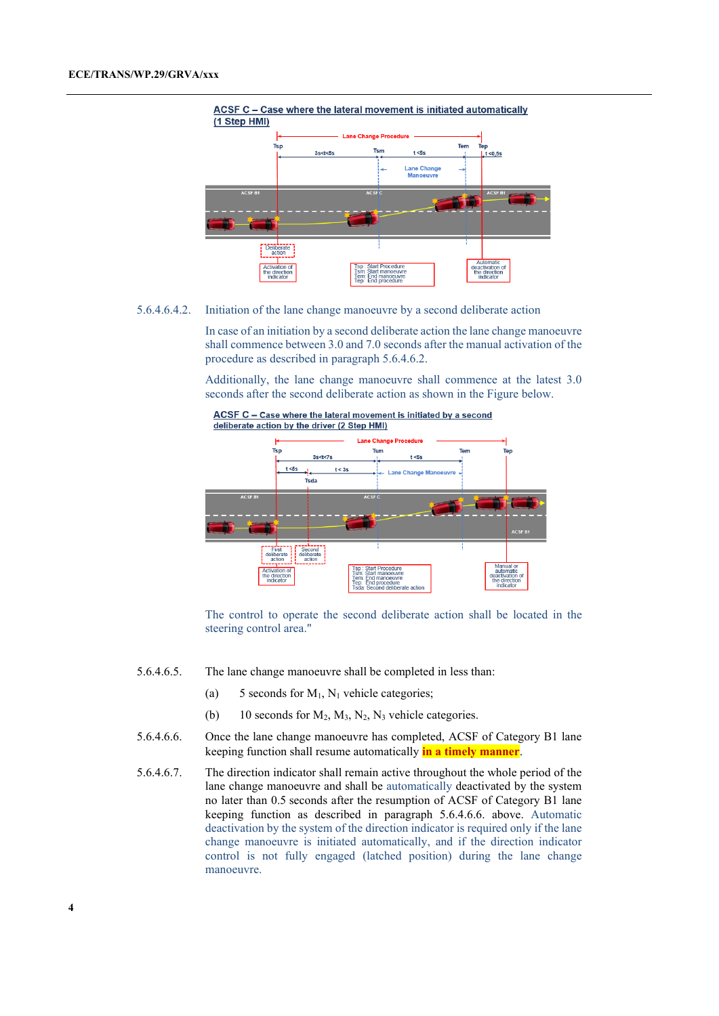

5.6.4.6.4.2. Initiation of the lane change manoeuvre by a second deliberate action

In case of an initiation by a second deliberate action the lane change manoeuvre shall commence between 3.0 and 7.0 seconds after the manual activation of the procedure as described in paragraph 5.6.4.6.2.

Additionally, the lane change manoeuvre shall commence at the latest 3.0 seconds after the second deliberate action as shown in the Figure below.



The control to operate the second deliberate action shall be located in the steering control area."

- 5.6.4.6.5. The lane change manoeuvre shall be completed in less than:
	- (a) 5 seconds for  $M_1$ ,  $N_1$  vehicle categories;
	- (b) 10 seconds for  $M_2$ ,  $M_3$ ,  $N_2$ ,  $N_3$  vehicle categories.
- 5.6.4.6.6. Once the lane change manoeuvre has completed, ACSF of Category B1 lane keeping function shall resume automatically **in a timely manner**.
- 5.6.4.6.7. The direction indicator shall remain active throughout the whole period of the lane change manoeuvre and shall be automatically deactivated by the system no later than 0.5 seconds after the resumption of ACSF of Category B1 lane keeping function as described in paragraph 5.6.4.6.6. above. Automatic deactivation by the system of the direction indicator is required only if the lane change manoeuvre is initiated automatically, and if the direction indicator control is not fully engaged (latched position) during the lane change manoeuvre.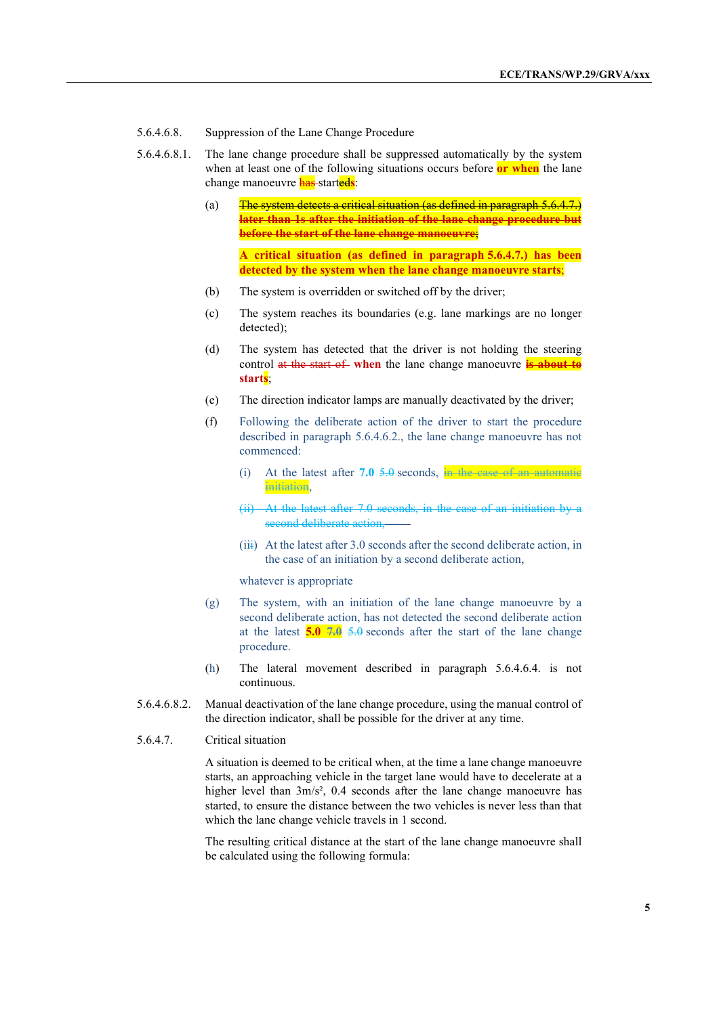- 5.6.4.6.8. Suppression of the Lane Change Procedure
- 5.6.4.6.8.1. The lane change procedure shall be suppressed automatically by the system when at least one of the following situations occurs before **or when** the lane change manoeuvre has started**s**:
	- (a)  $\frac{1}{\pi}$  The system detects a critical situation (as defined in paragraph 5.6.4.7.) **later than 1s after the initiation of the lane change procedure but before the start of the lane change manoeuvre**; **A critical situation (as defined in paragraph 5.6.4.7.) has been** 
		- **detected by the system when the lane change manoeuvre starts**;
	- (b) The system is overridden or switched off by the driver;
	- (c) The system reaches its boundaries (e.g. lane markings are no longer detected);
	- (d) The system has detected that the driver is not holding the steering control at the start of when the lane change manoeuvre **is about to starts**;
	- (e) The direction indicator lamps are manually deactivated by the driver;
	- (f) Following the deliberate action of the driver to start the procedure described in paragraph 5.6.4.6.2., the lane change manoeuvre has not commenced:
		- (i) At the latest after **7.0** 5.0 seconds, in the case of an automatic initiation,
		- (ii) At the latest after 7.0 seconds, in the case of an initiation by a second deliberate action,
		- $(iii)$  At the latest after 3.0 seconds after the second deliberate action, in the case of an initiation by a second deliberate action,

whatever is appropriate

- (g) The system, with an initiation of the lane change manoeuvre by a second deliberate action, has not detected the second deliberate action at the latest **5.0 7.0** 5.0 seconds after the start of the lane change procedure.
- (h) The lateral movement described in paragraph 5.6.4.6.4. is not continuous.
- 5.6.4.6.8.2. Manual deactivation of the lane change procedure, using the manual control of the direction indicator, shall be possible for the driver at any time.
- 5.6.4.7. Critical situation

A situation is deemed to be critical when, at the time a lane change manoeuvre starts, an approaching vehicle in the target lane would have to decelerate at a higher level than  $3m/s^2$ , 0.4 seconds after the lane change manoeuvre has started, to ensure the distance between the two vehicles is never less than that which the lane change vehicle travels in 1 second.

The resulting critical distance at the start of the lane change manoeuvre shall be calculated using the following formula: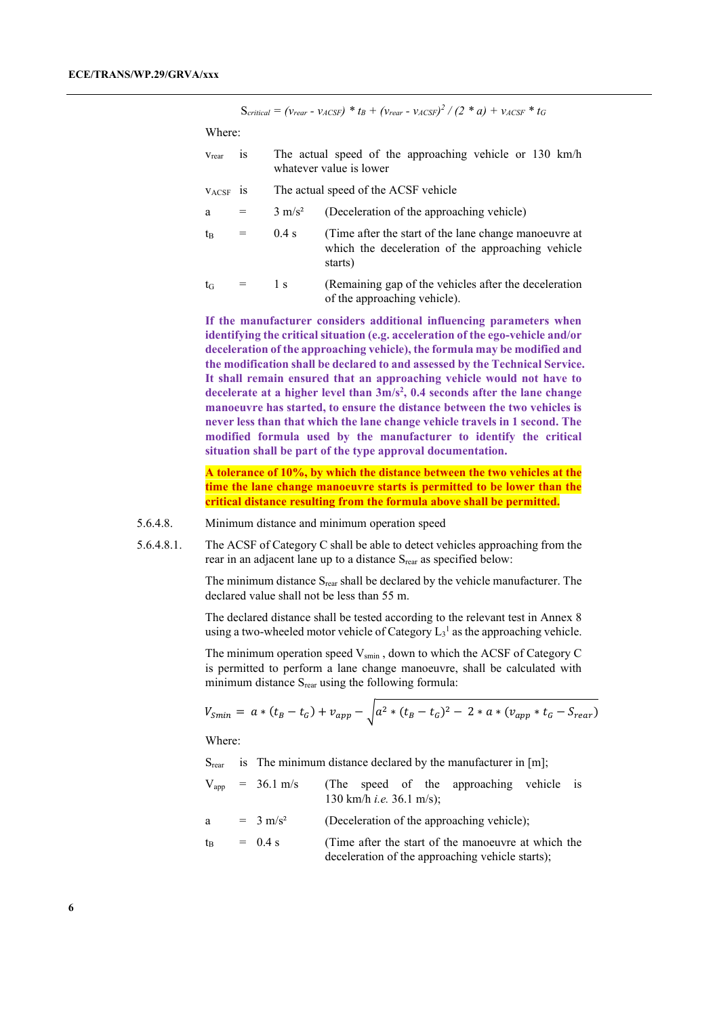$S_{critical} = (v_{rear} - v_{ACSF}) * t_B + (v_{rear} - v_{ACSF})^2 / (2 * a) + v_{ACSF} * t_G$ 

Where:

- vrear is The actual speed of the approaching vehicle or 130 km/h whatever value is lower
- vACSF is The actual speed of the ACSF vehicle
- $a = 3$  m/s<sup>2</sup> (Deceleration of the approaching vehicle)
- $t_B$  = 0.4 s (Time after the start of the lane change manoeuvre at which the deceleration of the approaching vehicle starts)
- $t_G$  = 1 s (Remaining gap of the vehicles after the deceleration of the approaching vehicle).

**If the manufacturer considers additional influencing parameters when identifying the critical situation (e.g. acceleration of the ego-vehicle and/or deceleration of the approaching vehicle), the formula may be modified and the modification shall be declared to and assessed by the Technical Service. It shall remain ensured that an approaching vehicle would not have to decelerate at a higher level than 3m/s2 , 0.4 seconds after the lane change manoeuvre has started, to ensure the distance between the two vehicles is never less than that which the lane change vehicle travels in 1 second. The modified formula used by the manufacturer to identify the critical situation shall be part of the type approval documentation.**

**A tolerance of 10%, by which the distance between the two vehicles at the time the lane change manoeuvre starts is permitted to be lower than the critical distance resulting from the formula above shall be permitted.**

- 5.6.4.8. Minimum distance and minimum operation speed
- 5.6.4.8.1. The ACSF of Category C shall be able to detect vehicles approaching from the rear in an adjacent lane up to a distance S<sub>rear</sub> as specified below:

The minimum distance  $S_{\text{rear}}$  shall be declared by the vehicle manufacturer. The declared value shall not be less than 55 m.

The declared distance shall be tested according to the relevant test in Annex 8 using a two-wheeled motor vehicle of Category  $L_3$ <sup>1</sup> as the approaching vehicle.

The minimum operation speed  $V_{\text{smin}}$ , down to which the ACSF of Category C is permitted to perform a lane change manoeuvre, shall be calculated with minimum distance  $S_{\text{rear}}$  using the following formula:

$$
V_{Smin} = a * (t_B - t_G) + v_{app} - \sqrt{a^2 * (t_B - t_G)^2 - 2 * a * (v_{app} * t_G - S_{rear})}
$$

Where:

 $S<sub>rear</sub>$  is The minimum distance declared by the manufacturer in [m];

- $V_{app}$  = 36.1 m/s (The speed of the approaching vehicle is 130 km/h *i.e.* 36.1 m/s);
- a =  $3 \text{ m/s}^2$  (Deceleration of the approaching vehicle);

$$
t_B
$$
 = 0.4 s (Time after the start of the manoeuvre at which the deceleration of the approaching vehicle starts);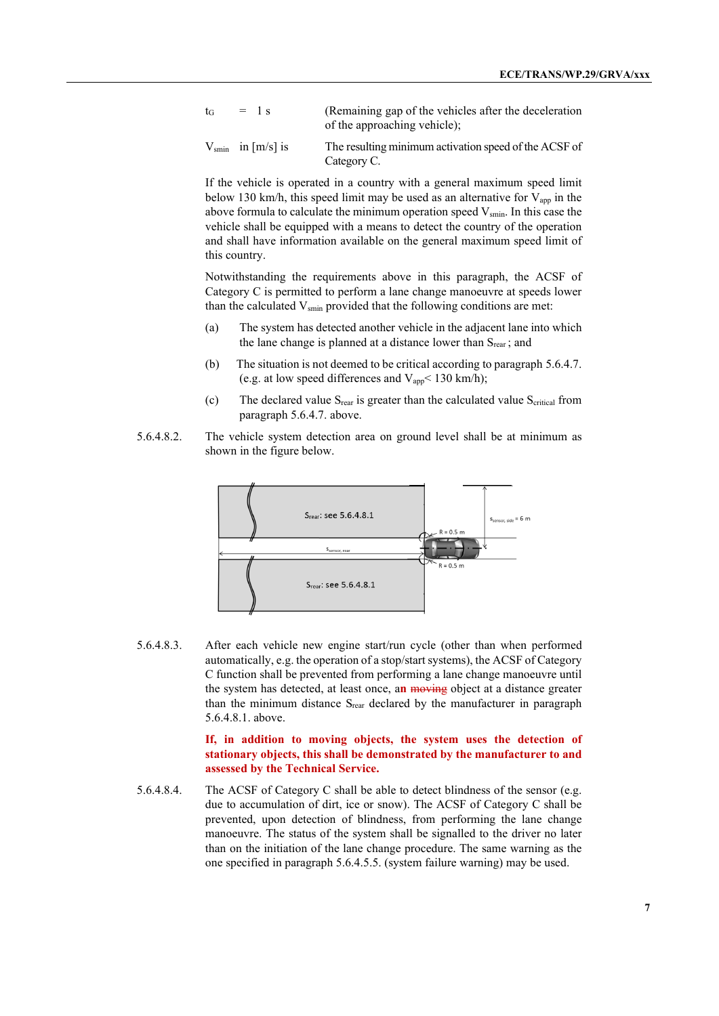- $t_G$  = 1 s (Remaining gap of the vehicles after the deceleration of the approaching vehicle);
- $V_{\text{smin}}$  in [m/s] is The resulting minimum activation speed of the ACSF of Category C.

If the vehicle is operated in a country with a general maximum speed limit below 130 km/h, this speed limit may be used as an alternative for  $V_{app}$  in the above formula to calculate the minimum operation speed  $V_{\text{smin}}$ . In this case the vehicle shall be equipped with a means to detect the country of the operation and shall have information available on the general maximum speed limit of this country.

Notwithstanding the requirements above in this paragraph, the ACSF of Category C is permitted to perform a lane change manoeuvre at speeds lower than the calculated  $V_{\text{smin}}$  provided that the following conditions are met:

- (a) The system has detected another vehicle in the adjacent lane into which the lane change is planned at a distance lower than  $S<sub>rear</sub>$ ; and
- (b) The situation is not deemed to be critical according to paragraph 5.6.4.7. (e.g. at low speed differences and  $V_{app}$  < 130 km/h);
- (c) The declared value  $S_{\text{rear}}$  is greater than the calculated value  $S_{\text{critical}}$  from paragraph 5.6.4.7. above.
- 5.6.4.8.2. The vehicle system detection area on ground level shall be at minimum as shown in the figure below.



5.6.4.8.3. After each vehicle new engine start/run cycle (other than when performed automatically, e.g. the operation of a stop/start systems), the ACSF of Category C function shall be prevented from performing a lane change manoeuvre until the system has detected, at least once, a**n** moving object at a distance greater than the minimum distance  $S_{\text{rear}}$  declared by the manufacturer in paragraph 5.6.4.8.1. above.

> **If, in addition to moving objects, the system uses the detection of stationary objects, this shall be demonstrated by the manufacturer to and assessed by the Technical Service.**

5.6.4.8.4. The ACSF of Category C shall be able to detect blindness of the sensor (e.g. due to accumulation of dirt, ice or snow). The ACSF of Category C shall be prevented, upon detection of blindness, from performing the lane change manoeuvre. The status of the system shall be signalled to the driver no later than on the initiation of the lane change procedure. The same warning as the one specified in paragraph 5.6.4.5.5. (system failure warning) may be used.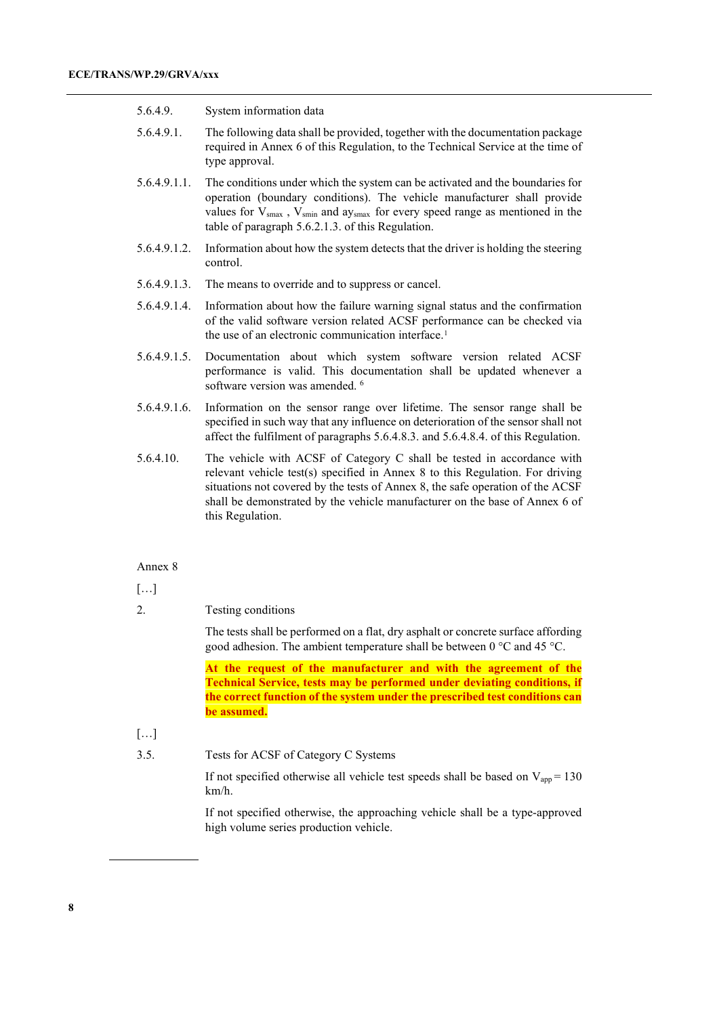#### 5.6.4.9. System information data

- 5.6.4.9.1. The following data shall be provided, together with the documentation package required in Annex 6 of this Regulation, to the Technical Service at the time of type approval.
- 5.6.4.9.1.1. The conditions under which the system can be activated and the boundaries for operation (boundary conditions). The vehicle manufacturer shall provide values for  $V_{smax}$ ,  $V_{smin}$  and ay<sub>smax</sub> for every speed range as mentioned in the table of paragraph 5.6.2.1.3. of this Regulation.
- 5.6.4.9.1.2. Information about how the system detects that the driver is holding the steering control.
- 5.6.4.9.1.3. The means to override and to suppress or cancel.
- 5.6.4.9.1.4. Information about how the failure warning signal status and the confirmation of the valid software version related ACSF performance can be checked via the use of an electronic communication interface.<sup>[1](#page-7-0)</sup>
- 5.6.4.9.1.5. Documentation about which system software version related ACSF performance is valid. This documentation shall be updated whenever a software version was amended. <sup>6</sup>
- 5.6.4.9.1.6. Information on the sensor range over lifetime. The sensor range shall be specified in such way that any influence on deterioration of the sensor shall not affect the fulfilment of paragraphs 5.6.4.8.3. and 5.6.4.8.4. of this Regulation.
- 5.6.4.10. The vehicle with ACSF of Category C shall be tested in accordance with relevant vehicle test(s) specified in Annex 8 to this Regulation. For driving situations not covered by the tests of Annex 8, the safe operation of the ACSF shall be demonstrated by the vehicle manufacturer on the base of Annex 6 of this Regulation.

#### Annex 8

[…]

2. Testing conditions

The tests shall be performed on a flat, dry asphalt or concrete surface affording good adhesion. The ambient temperature shall be between  $0^{\circ}$ C and 45  $^{\circ}$ C.

**At the request of the manufacturer and with the agreement of the Technical Service, tests may be performed under deviating conditions, if the correct function of the system under the prescribed test conditions can be assumed.**

[…]

#### <span id="page-7-0"></span>3.5. Tests for ACSF of Category C Systems

If not specified otherwise all vehicle test speeds shall be based on  $V_{app} = 130$ km/h.

If not specified otherwise, the approaching vehicle shall be a type-approved high volume series production vehicle.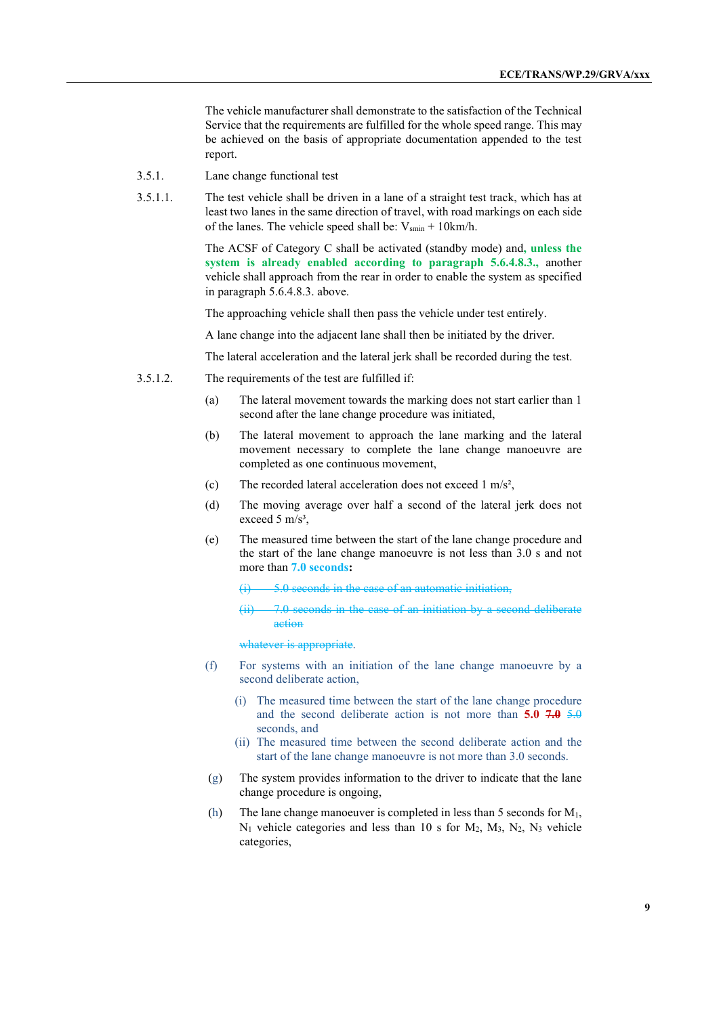The vehicle manufacturer shall demonstrate to the satisfaction of the Technical Service that the requirements are fulfilled for the whole speed range. This may be achieved on the basis of appropriate documentation appended to the test report.

- 3.5.1. Lane change functional test
- 3.5.1.1. The test vehicle shall be driven in a lane of a straight test track, which has at least two lanes in the same direction of travel, with road markings on each side of the lanes. The vehicle speed shall be:  $V_{smin} + 10km/h$ .

The ACSF of Category C shall be activated (standby mode) and**, unless the system is already enabled according to paragraph 5.6.4.8.3.,** another vehicle shall approach from the rear in order to enable the system as specified in paragraph 5.6.4.8.3. above.

The approaching vehicle shall then pass the vehicle under test entirely.

A lane change into the adjacent lane shall then be initiated by the driver.

The lateral acceleration and the lateral jerk shall be recorded during the test.

- 3.5.1.2. The requirements of the test are fulfilled if:
	- (a) The lateral movement towards the marking does not start earlier than 1 second after the lane change procedure was initiated,
	- (b) The lateral movement to approach the lane marking and the lateral movement necessary to complete the lane change manoeuvre are completed as one continuous movement,
	- (c) The recorded lateral acceleration does not exceed 1 m/s²,
	- (d) The moving average over half a second of the lateral jerk does not exceed 5 m/s<sup>3</sup>,
	- (e) The measured time between the start of the lane change procedure and the start of the lane change manoeuvre is not less than 3.0 s and not more than **7.0 seconds:**

5.0 seconds in the case of an automatic initiation,

(ii) 7.0 seconds in the case of an initiation by a second deliberate action

whatever is appropriate.

- (f) For systems with an initiation of the lane change manoeuvre by a second deliberate action,
	- (i) The measured time between the start of the lane change procedure and the second deliberate action is not more than **5.0 7.0** 5.0 seconds, and
	- (ii) The measured time between the second deliberate action and the start of the lane change manoeuvre is not more than 3.0 seconds.
- (g) The system provides information to the driver to indicate that the lane change procedure is ongoing,
- (h) The lane change manoeuver is completed in less than 5 seconds for  $M_1$ ,  $N_1$  vehicle categories and less than 10 s for  $M_2$ ,  $M_3$ ,  $N_2$ ,  $N_3$  vehicle categories,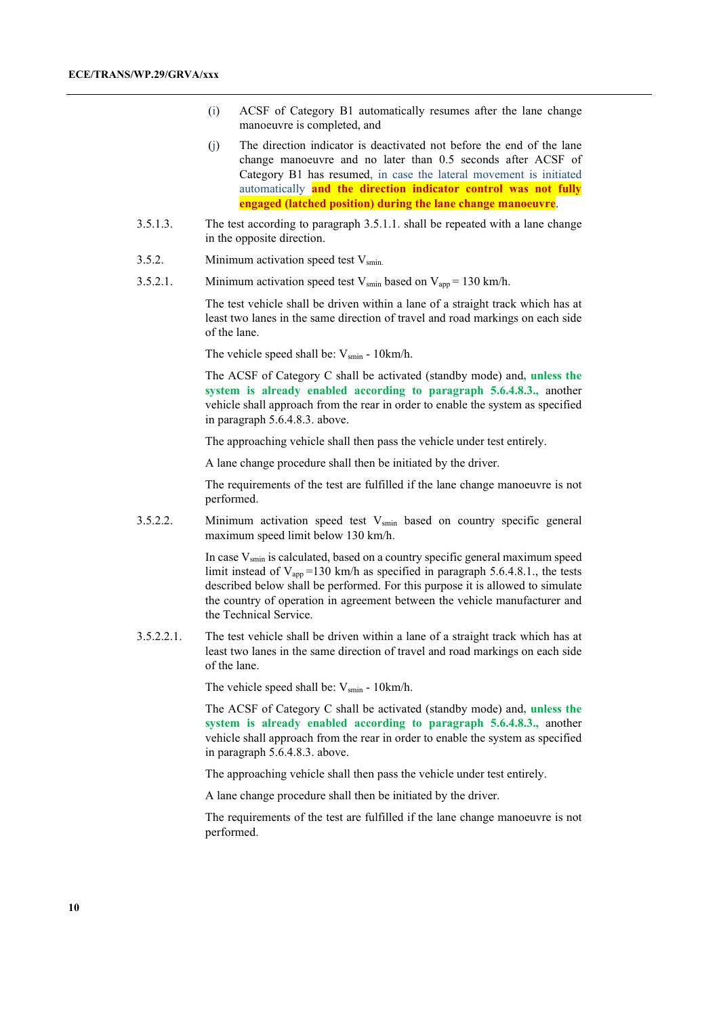- (i) ACSF of Category B1 automatically resumes after the lane change manoeuvre is completed, and
- (j) The direction indicator is deactivated not before the end of the lane change manoeuvre and no later than 0.5 seconds after ACSF of Category B1 has resumed, in case the lateral movement is initiated automatically **and the direction indicator control was not fully engaged (latched position) during the lane change manoeuvre**.
- 3.5.1.3. The test according to paragraph 3.5.1.1. shall be repeated with a lane change in the opposite direction.
- 3.5.2. Minimum activation speed test  $V_{\text{smin}}$ .
- 3.5.2.1. Minimum activation speed test  $V_{\text{smin}}$  based on  $V_{\text{app}} = 130 \text{ km/h}$ .

The test vehicle shall be driven within a lane of a straight track which has at least two lanes in the same direction of travel and road markings on each side of the lane.

The vehicle speed shall be:  $V_{\text{smin}}$  - 10km/h.

The ACSF of Category C shall be activated (standby mode) and**, unless the system is already enabled according to paragraph 5.6.4.8.3.,** another vehicle shall approach from the rear in order to enable the system as specified in paragraph 5.6.4.8.3. above.

The approaching vehicle shall then pass the vehicle under test entirely.

A lane change procedure shall then be initiated by the driver.

The requirements of the test are fulfilled if the lane change manoeuvre is not performed.

3.5.2.2. Minimum activation speed test  $V_{\text{smin}}$  based on country specific general maximum speed limit below 130 km/h.

> In case  $V_{\text{smin}}$  is calculated, based on a country specific general maximum speed limit instead of  $V_{app}$ =130 km/h as specified in paragraph 5.6.4.8.1., the tests described below shall be performed. For this purpose it is allowed to simulate the country of operation in agreement between the vehicle manufacturer and the Technical Service.

3.5.2.2.1. The test vehicle shall be driven within a lane of a straight track which has at least two lanes in the same direction of travel and road markings on each side of the lane.

The vehicle speed shall be:  $V_{\text{smin}}$  - 10km/h.

The ACSF of Category C shall be activated (standby mode) and**, unless the system is already enabled according to paragraph 5.6.4.8.3.,** another vehicle shall approach from the rear in order to enable the system as specified in paragraph 5.6.4.8.3. above.

The approaching vehicle shall then pass the vehicle under test entirely.

A lane change procedure shall then be initiated by the driver.

The requirements of the test are fulfilled if the lane change manoeuvre is not performed.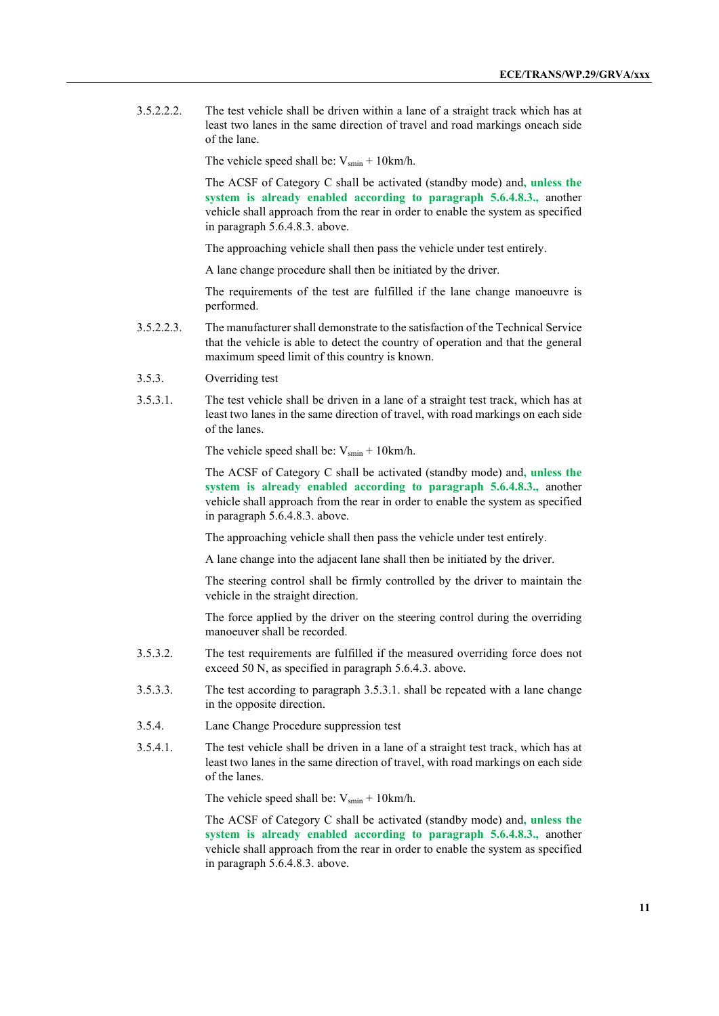3.5.2.2.2. The test vehicle shall be driven within a lane of a straight track which has at least two lanes in the same direction of travel and road markings oneach side of the lane.

The vehicle speed shall be:  $V_{\text{smin}} + 10 \text{km/h}$ .

The ACSF of Category C shall be activated (standby mode) and**, unless the system is already enabled according to paragraph 5.6.4.8.3.,** another vehicle shall approach from the rear in order to enable the system as specified in paragraph 5.6.4.8.3. above.

The approaching vehicle shall then pass the vehicle under test entirely.

A lane change procedure shall then be initiated by the driver.

The requirements of the test are fulfilled if the lane change manoeuvre is performed.

- 3.5.2.2.3. The manufacturer shall demonstrate to the satisfaction of the Technical Service that the vehicle is able to detect the country of operation and that the general maximum speed limit of this country is known.
- 3.5.3. Overriding test
- 3.5.3.1. The test vehicle shall be driven in a lane of a straight test track, which has at least two lanes in the same direction of travel, with road markings on each side of the lanes.

The vehicle speed shall be:  $V_{\text{smin}} + 10 \text{km/h}$ .

The ACSF of Category C shall be activated (standby mode) and**, unless the system is already enabled according to paragraph 5.6.4.8.3.,** another vehicle shall approach from the rear in order to enable the system as specified in paragraph 5.6.4.8.3. above.

The approaching vehicle shall then pass the vehicle under test entirely.

A lane change into the adjacent lane shall then be initiated by the driver.

The steering control shall be firmly controlled by the driver to maintain the vehicle in the straight direction.

The force applied by the driver on the steering control during the overriding manoeuver shall be recorded.

- 3.5.3.2. The test requirements are fulfilled if the measured overriding force does not exceed 50 N, as specified in paragraph 5.6.4.3. above.
- 3.5.3.3. The test according to paragraph 3.5.3.1. shall be repeated with a lane change in the opposite direction.
- 3.5.4. Lane Change Procedure suppression test
- 3.5.4.1. The test vehicle shall be driven in a lane of a straight test track, which has at least two lanes in the same direction of travel, with road markings on each side of the lanes.

The vehicle speed shall be:  $V_{smin} + 10km/h$ .

The ACSF of Category C shall be activated (standby mode) and**, unless the system is already enabled according to paragraph 5.6.4.8.3.,** another vehicle shall approach from the rear in order to enable the system as specified in paragraph 5.6.4.8.3. above.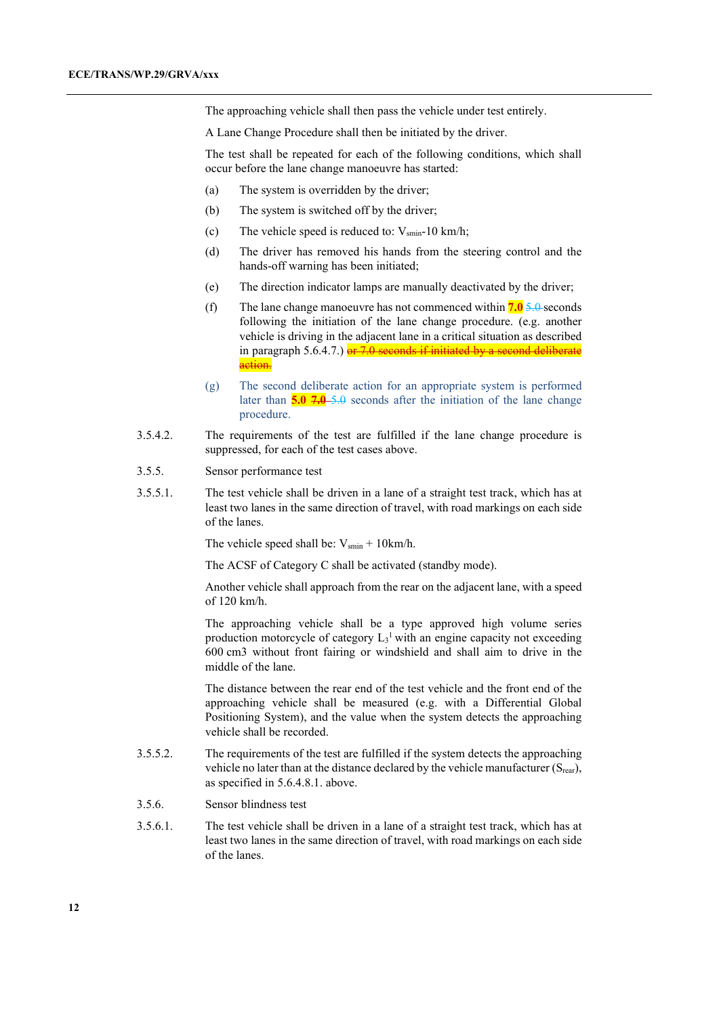The approaching vehicle shall then pass the vehicle under test entirely.

A Lane Change Procedure shall then be initiated by the driver.

The test shall be repeated for each of the following conditions, which shall occur before the lane change manoeuvre has started:

- (a) The system is overridden by the driver;
- (b) The system is switched off by the driver;
- (c) The vehicle speed is reduced to:  $V_{\text{smin}}$ -10 km/h;
- (d) The driver has removed his hands from the steering control and the hands-off warning has been initiated;
- (e) The direction indicator lamps are manually deactivated by the driver;
- (f) The lane change manoeuvre has not commenced within **7.0** 5.0 seconds following the initiation of the lane change procedure. (e.g. another vehicle is driving in the adjacent lane in a critical situation as described in paragraph 5.6.4.7.)  $er 7.0$  seconds if initiated by a second deliberate action.
- (g) The second deliberate action for an appropriate system is performed later than **5.0 7.0** 5.0 seconds after the initiation of the lane change procedure.
- 3.5.4.2. The requirements of the test are fulfilled if the lane change procedure is suppressed, for each of the test cases above.
- 3.5.5. Sensor performance test
- 3.5.5.1. The test vehicle shall be driven in a lane of a straight test track, which has at least two lanes in the same direction of travel, with road markings on each side of the lanes.

The vehicle speed shall be:  $V_{smin}$  + 10km/h.

The ACSF of Category C shall be activated (standby mode).

Another vehicle shall approach from the rear on the adjacent lane, with a speed of 120 km/h.

The approaching vehicle shall be a type approved high volume series production motorcycle of category  $L_3$ <sup>1</sup> with an engine capacity not exceeding 600 cm3 without front fairing or windshield and shall aim to drive in the middle of the lane.

The distance between the rear end of the test vehicle and the front end of the approaching vehicle shall be measured (e.g. with a Differential Global Positioning System), and the value when the system detects the approaching vehicle shall be recorded.

- 3.5.5.2. The requirements of the test are fulfilled if the system detects the approaching vehicle no later than at the distance declared by the vehicle manufacturer  $(S_{\text{rear}})$ , as specified in 5.6.4.8.1. above.
- 3.5.6. Sensor blindness test
- 3.5.6.1. The test vehicle shall be driven in a lane of a straight test track, which has at least two lanes in the same direction of travel, with road markings on each side of the lanes.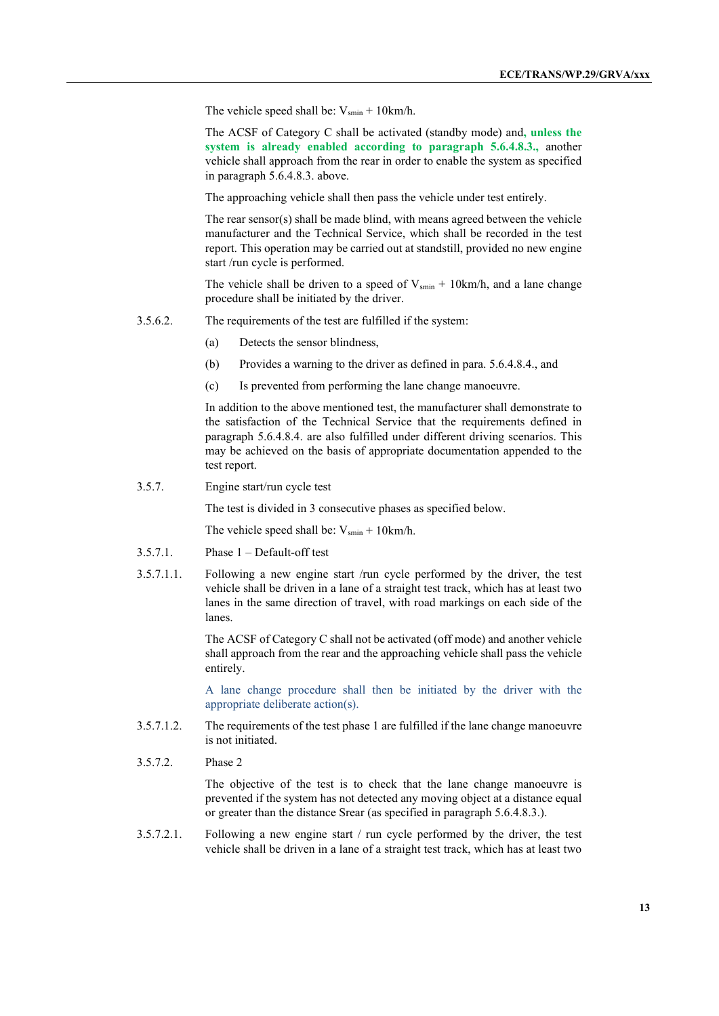The vehicle speed shall be:  $V_{\text{smin}} + 10 \text{km/h}$ .

The ACSF of Category C shall be activated (standby mode) and**, unless the system is already enabled according to paragraph 5.6.4.8.3.,** another vehicle shall approach from the rear in order to enable the system as specified in paragraph 5.6.4.8.3. above.

The approaching vehicle shall then pass the vehicle under test entirely.

The rear sensor(s) shall be made blind, with means agreed between the vehicle manufacturer and the Technical Service, which shall be recorded in the test report. This operation may be carried out at standstill, provided no new engine start /run cycle is performed.

The vehicle shall be driven to a speed of  $V_{\text{smin}} + 10 \text{km/h}$ , and a lane change procedure shall be initiated by the driver.

- 3.5.6.2. The requirements of the test are fulfilled if the system:
	- (a) Detects the sensor blindness,
	- (b) Provides a warning to the driver as defined in para. 5.6.4.8.4., and
	- (c) Is prevented from performing the lane change manoeuvre.

In addition to the above mentioned test, the manufacturer shall demonstrate to the satisfaction of the Technical Service that the requirements defined in paragraph 5.6.4.8.4. are also fulfilled under different driving scenarios. This may be achieved on the basis of appropriate documentation appended to the test report.

3.5.7. Engine start/run cycle test

The test is divided in 3 consecutive phases as specified below.

The vehicle speed shall be:  $V_{\text{smin}} + 10 \text{km/h}$ .

- 3.5.7.1. Phase 1 Default-off test
- 3.5.7.1.1. Following a new engine start /run cycle performed by the driver, the test vehicle shall be driven in a lane of a straight test track, which has at least two lanes in the same direction of travel, with road markings on each side of the lanes.

The ACSF of Category C shall not be activated (off mode) and another vehicle shall approach from the rear and the approaching vehicle shall pass the vehicle entirely.

A lane change procedure shall then be initiated by the driver with the appropriate deliberate action(s).

- 3.5.7.1.2. The requirements of the test phase 1 are fulfilled if the lane change manoeuvre is not initiated.
- 3.5.7.2. Phase 2

The objective of the test is to check that the lane change manoeuvre is prevented if the system has not detected any moving object at a distance equal or greater than the distance Srear (as specified in paragraph 5.6.4.8.3.).

3.5.7.2.1. Following a new engine start / run cycle performed by the driver, the test vehicle shall be driven in a lane of a straight test track, which has at least two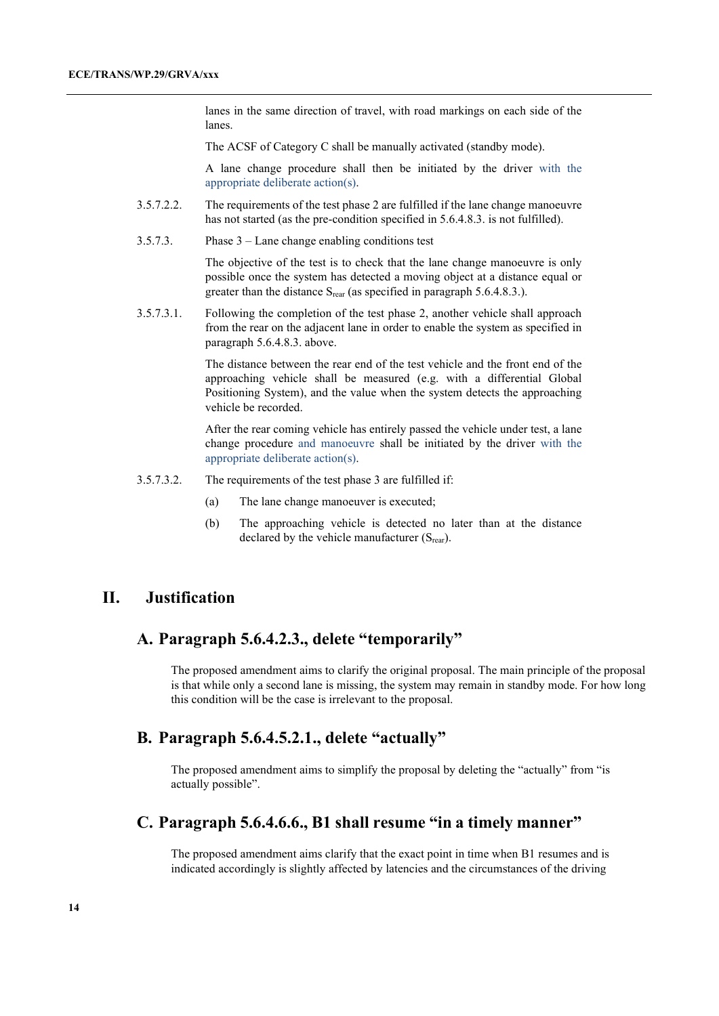lanes in the same direction of travel, with road markings on each side of the lanes.

The ACSF of Category C shall be manually activated (standby mode).

A lane change procedure shall then be initiated by the driver with the appropriate deliberate action(s).

- 3.5.7.2.2. The requirements of the test phase 2 are fulfilled if the lane change manoeuvre has not started (as the pre-condition specified in 5.6.4.8.3. is not fulfilled).
- 3.5.7.3. Phase 3 Lane change enabling conditions test

The objective of the test is to check that the lane change manoeuvre is only possible once the system has detected a moving object at a distance equal or greater than the distance  $S_{\text{rear}}$  (as specified in paragraph 5.6.4.8.3.).

3.5.7.3.1. Following the completion of the test phase 2, another vehicle shall approach from the rear on the adjacent lane in order to enable the system as specified in paragraph 5.6.4.8.3. above.

> The distance between the rear end of the test vehicle and the front end of the approaching vehicle shall be measured (e.g. with a differential Global Positioning System), and the value when the system detects the approaching vehicle be recorded.

> After the rear coming vehicle has entirely passed the vehicle under test, a lane change procedure and manoeuvre shall be initiated by the driver with the appropriate deliberate action(s).

- 3.5.7.3.2. The requirements of the test phase 3 are fulfilled if:
	- (a) The lane change manoeuver is executed;
	- (b) The approaching vehicle is detected no later than at the distance declared by the vehicle manufacturer  $(S_{\text{rear}})$ .

## **II. Justification**

## **A. Paragraph 5.6.4.2.3., delete "temporarily"**

The proposed amendment aims to clarify the original proposal. The main principle of the proposal is that while only a second lane is missing, the system may remain in standby mode. For how long this condition will be the case is irrelevant to the proposal.

# **B. Paragraph 5.6.4.5.2.1., delete "actually"**

The proposed amendment aims to simplify the proposal by deleting the "actually" from "is actually possible".

## **C. Paragraph 5.6.4.6.6., B1 shall resume "in a timely manner"**

The proposed amendment aims clarify that the exact point in time when B1 resumes and is indicated accordingly is slightly affected by latencies and the circumstances of the driving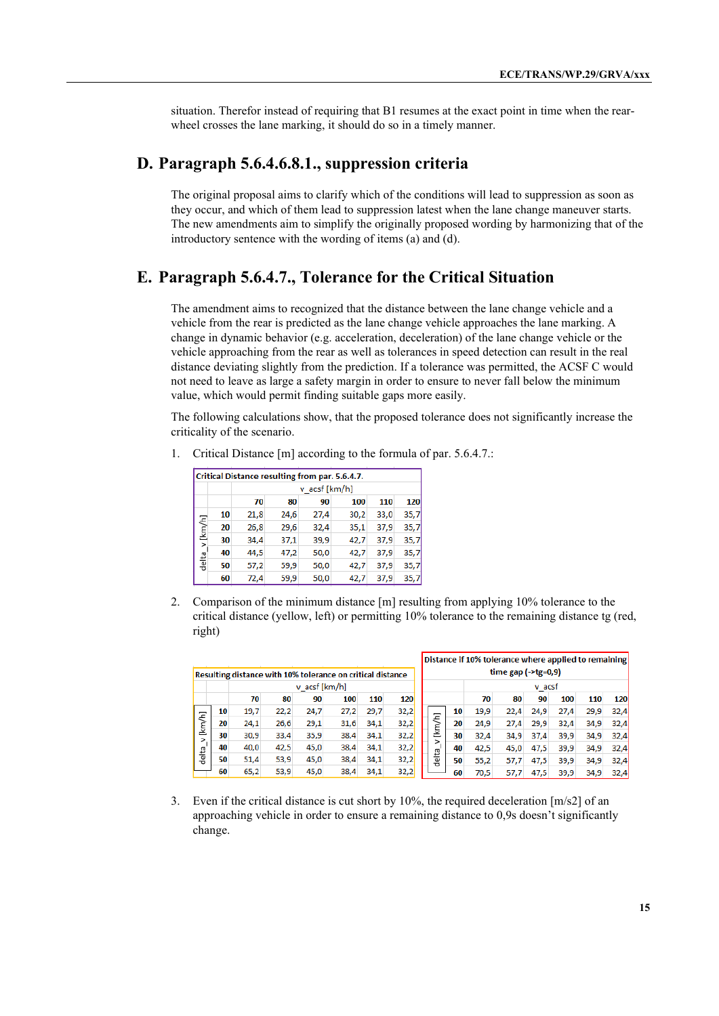situation. Therefor instead of requiring that B1 resumes at the exact point in time when the rearwheel crosses the lane marking, it should do so in a timely manner.

## **D. Paragraph 5.6.4.6.8.1., suppression criteria**

The original proposal aims to clarify which of the conditions will lead to suppression as soon as they occur, and which of them lead to suppression latest when the lane change maneuver starts. The new amendments aim to simplify the originally proposed wording by harmonizing that of the introductory sentence with the wording of items (a) and (d).

## **E. Paragraph 5.6.4.7., Tolerance for the Critical Situation**

The amendment aims to recognized that the distance between the lane change vehicle and a vehicle from the rear is predicted as the lane change vehicle approaches the lane marking. A change in dynamic behavior (e.g. acceleration, deceleration) of the lane change vehicle or the vehicle approaching from the rear as well as tolerances in speed detection can result in the real distance deviating slightly from the prediction. If a tolerance was permitted, the ACSF C would not need to leave as large a safety margin in order to ensure to never fall below the minimum value, which would permit finding suitable gaps more easily.

The following calculations show, that the proposed tolerance does not significantly increase the criticality of the scenario.

- Critical Distance resulting from par. 5.6.4.7. v\_acsf [km/h] 70 80 90 100 110 120 10  $21,8$  $24,6$ 27,4  $30,2$ 33,0  $35,7$ [km/h] 20 26,8  $29,6$ 32,4  $35,1$ 37,9 35,7 30 37.9 34.4 37.1 39.9 42.7 35.7 delta v 40 44,5 47,2 50,0 42,7 37,9  $35,7$ 50  $57,2$ 59,9 50,0 42,7  $37,9$  $35,7$ 60  $72,4$ 59,9 50,0 42,7  $37,9$ 35,7
- 1. Critical Distance [m] according to the formula of par. 5.6.4.7.:

2. Comparison of the minimum distance [m] resulting from applying 10% tolerance to the critical distance (yellow, left) or permitting 10% tolerance to the remaining distance tg (red, right)

|                                                            |    |               |      |      |      |      |                    |                    | Distance if 10% tolerance where applied to remaining |        |      |      |      |      |            |
|------------------------------------------------------------|----|---------------|------|------|------|------|--------------------|--------------------|------------------------------------------------------|--------|------|------|------|------|------------|
| Resulting distance with 10% tolerance on critical distance |    |               |      |      |      |      | time gap $(-\eta)$ |                    |                                                      |        |      |      |      |      |            |
|                                                            |    | v acsf [km/h] |      |      |      |      |                    |                    |                                                      | v_acsf |      |      |      |      |            |
|                                                            |    | 70            | 80   | 90   | 100  | 110  | <b>120</b>         |                    |                                                      | 70     | 80   | 90   | 100  | 110  | <b>120</b> |
|                                                            | 10 | 19,7          | 22,2 | 24,7 | 27,2 | 29,7 | 32,2               |                    | 10                                                   | 19,9   | 22,4 | 24,9 | 27,4 | 29,9 | 32,4       |
| [km/h]                                                     | 20 | 24,1          | 26,6 | 29,1 | 31,6 | 34,1 | 32,2               | [km/h]             | 20                                                   | 24,9   | 27,4 | 29,9 | 32,4 | 34,9 | 32,4       |
| $\geq$                                                     | 30 | 30,9          | 33,4 | 35,9 | 38,4 | 34,1 | 32,2               |                    | 30                                                   | 32,4   | 34,9 | 37,4 | 39,9 | 34,9 | 32,4       |
|                                                            | 40 | 40,0          | 42,5 | 45,0 | 38,4 | 34,1 | 32,2               |                    | 40                                                   | 42,5   | 45,0 | 47,5 | 39,9 | 34,9 | 32,4       |
| delta                                                      | 50 | 51,4          | 53,9 | 45,0 | 38,4 | 34,1 | 32,2               | delta <sub>.</sub> | 50                                                   | 55,2   | 57,7 | 47.5 | 39,9 | 34,9 | 32,4       |
|                                                            | 60 | 65,2          | 53,9 | 45,0 | 38,4 | 34,1 | 32,2               |                    | 60                                                   | 70,5   | 57,7 | 47.5 | 39,9 | 34,9 | 32,4       |

3. Even if the critical distance is cut short by 10%, the required deceleration [m/s2] of an approaching vehicle in order to ensure a remaining distance to 0,9s doesn't significantly change.